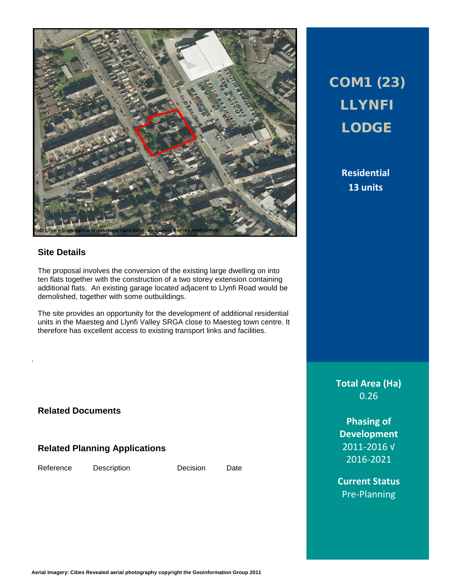

### **Site Details**

The proposal involves the conversion of the existing large dwelling on into ten flats together with the construction of a two storey extension containing additional flats. An existing garage located adjacent to Llynfi Road would be demolished, together with some outbuildings.

The site provides an opportunity for the development of additional residential units in the Maesteg and Llynfi Valley SRGA close to Maesteg town centre. It therefore has excellent access to existing transport links and facilities.

**Related Documents**

### **Related Planning Applications**

Reference Description Decision Date

.

## COM1 (23) LLYNFI LODGE

**Residential 13 units**

**Total Area (Ha)** 0.26

**Phasing of Development** 2011-2016 √ 2016-2021

**Current Status** Pre-Planning